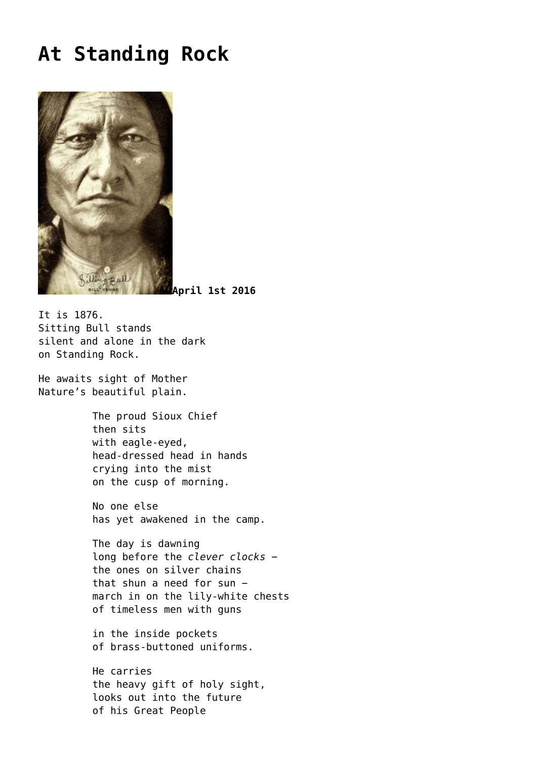## **[At Standing Rock](https://corncrakemagazine.com/article/at-standing-rock/)**



**April 1st 2016**

It is 1876. Sitting Bull stands silent and alone in the dark on Standing Rock.

He awaits sight of Mother Nature's beautiful plain.

> The proud Sioux Chief then sits with eagle-eyed, head-dressed head in hands crying into the mist on the cusp of morning.

No one else has yet awakened in the camp.

The day is dawning long before the *clever clocks* − the ones on silver chains that shun a need for sun − march in on the lily-white chests of timeless men with guns

in the inside pockets of brass-buttoned uniforms.

He carries the heavy gift of holy sight, looks out into the future of his Great People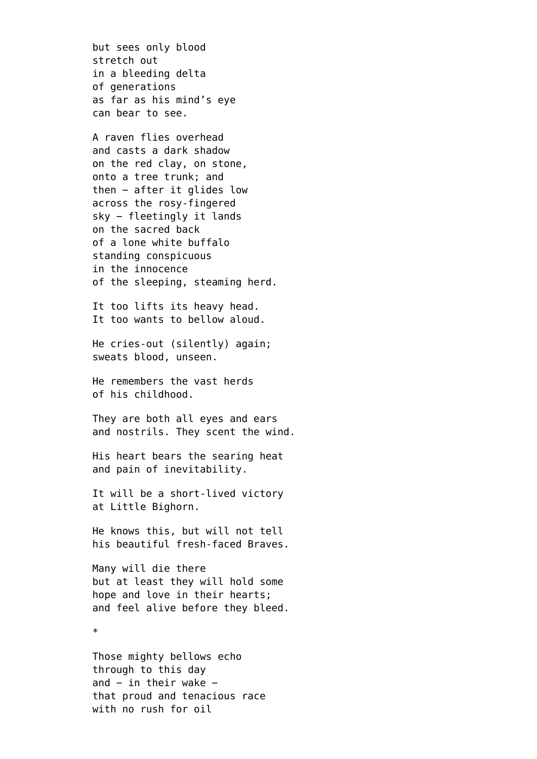but sees only blood stretch out in a bleeding delta of generations as far as his mind's eye can bear to see.

A raven flies overhead and casts a dark shadow on the red clay, on stone, onto a tree trunk; and then − after it glides low across the rosy-fingered sky − fleetingly it lands on the sacred back of a lone white buffalo standing conspicuous in the innocence of the sleeping, steaming herd.

It too lifts its heavy head. It too wants to bellow aloud.

He cries-out (silently) again; sweats blood, unseen.

He remembers the vast herds of his childhood.

They are both all eyes and ears and nostrils. They scent the wind.

His heart bears the searing heat and pain of inevitability.

It will be a short-lived victory at Little Bighorn.

He knows this, but will not tell his beautiful fresh-faced Braves.

Many will die there but at least they will hold some hope and love in their hearts; and feel alive before they bleed.

\*

Those mighty bellows echo through to this day and − in their wake − that proud and tenacious race with no rush for oil